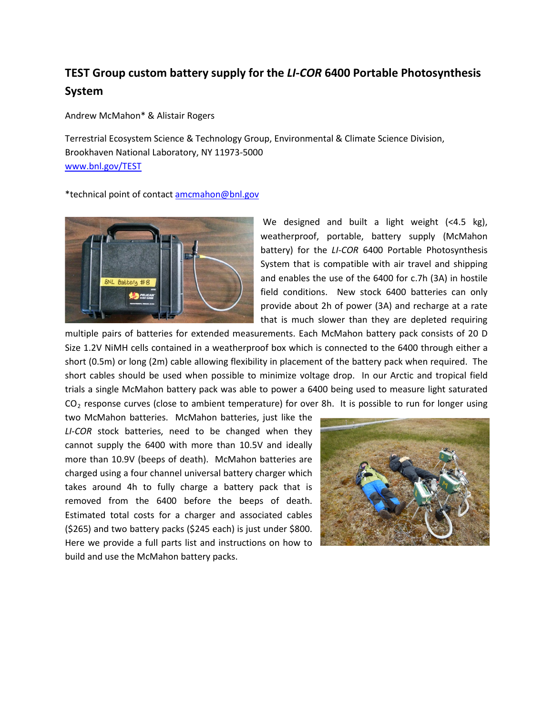## **TEST Group custom battery supply for the** *LI-COR* **6400 Portable Photosynthesis System**

Andrew McMahon\* & Alistair Rogers

Terrestrial Ecosystem Science & Technology Group, Environmental & Climate Science Division, Brookhaven National Laboratory, NY 11973-5000 [www.bnl.gov/TEST](http://www.bnl.gov/TEST)

\*technical point of contact [amcmahon@bnl.gov](mailto:amcmahon@bnl.gov)



We designed and built a light weight (<4.5 kg), weatherproof, portable, battery supply (McMahon battery) for the *LI-COR* 6400 Portable Photosynthesis System that is compatible with air travel and shipping and enables the use of the 6400 for c.7h (3A) in hostile field conditions. New stock 6400 batteries can only provide about 2h of power (3A) and recharge at a rate that is much slower than they are depleted requiring

multiple pairs of batteries for extended measurements. Each McMahon battery pack consists of 20 D Size 1.2V NiMH cells contained in a weatherproof box which is connected to the 6400 through either a short (0.5m) or long (2m) cable allowing flexibility in placement of the battery pack when required. The short cables should be used when possible to minimize voltage drop. In our Arctic and tropical field trials a single McMahon battery pack was able to power a 6400 being used to measure light saturated  $CO<sub>2</sub>$  response curves (close to ambient temperature) for over 8h. It is possible to run for longer using

two McMahon batteries. McMahon batteries, just like the *LI-COR* stock batteries, need to be changed when they cannot supply the 6400 with more than 10.5V and ideally more than 10.9V (beeps of death). McMahon batteries are charged using a four channel universal battery charger which takes around 4h to fully charge a battery pack that is removed from the 6400 before the beeps of death. Estimated total costs for a charger and associated cables (\$265) and two battery packs (\$245 each) is just under \$800. Here we provide a full parts list and instructions on how to build and use the McMahon battery packs.

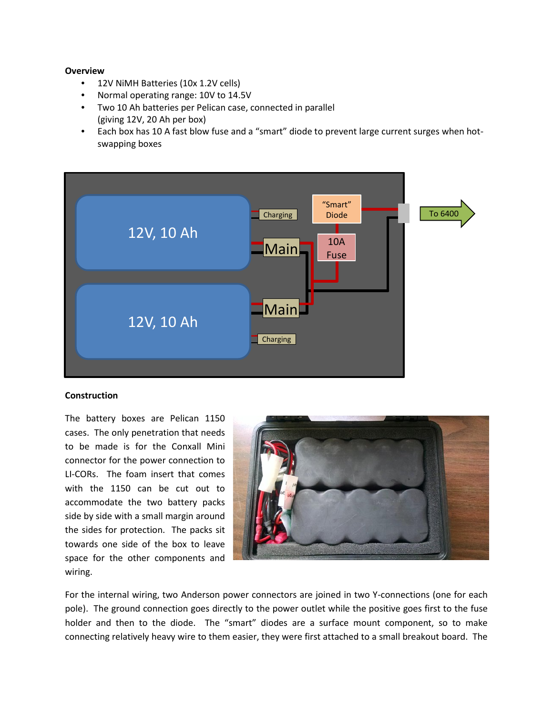## **Overview**

- 12V NiMH Batteries (10x 1.2V cells)
- Normal operating range: 10V to 14.5V
- Two 10 Ah batteries per Pelican case, connected in parallel (giving 12V, 20 Ah per box)
- Each box has 10 A fast blow fuse and a "smart" diode to prevent large current surges when hotswapping boxes



## **Construction**

The battery boxes are Pelican 1150 cases. The only penetration that needs to be made is for the Conxall Mini connector for the power connection to LI-CORs. The foam insert that comes with the 1150 can be cut out to accommodate the two battery packs side by side with a small margin around the sides for protection. The packs sit towards one side of the box to leave space for the other components and wiring.



For the internal wiring, two Anderson power connectors are joined in two Y-connections (one for each pole). The ground connection goes directly to the power outlet while the positive goes first to the fuse holder and then to the diode. The "smart" diodes are a surface mount component, so to make connecting relatively heavy wire to them easier, they were first attached to a small breakout board. The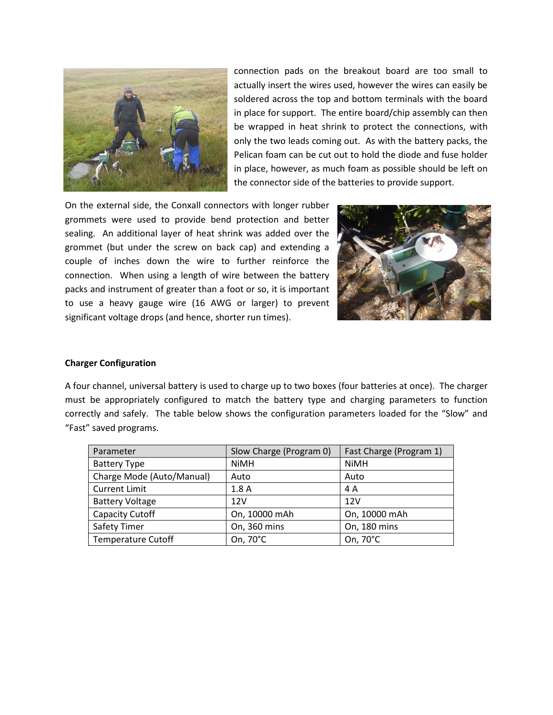

connection pads on the breakout board are too small to actually insert the wires used, however the wires can easily be soldered across the top and bottom terminals with the board in place for support. The entire board/chip assembly can then be wrapped in heat shrink to protect the connections, with only the two leads coming out. As with the battery packs, the Pelican foam can be cut out to hold the diode and fuse holder in place, however, as much foam as possible should be left on the connector side of the batteries to provide support.

On the external side, the Conxall connectors with longer rubber grommets were used to provide bend protection and better sealing. An additional layer of heat shrink was added over the grommet (but under the screw on back cap) and extending a couple of inches down the wire to further reinforce the connection. When using a length of wire between the battery packs and instrument of greater than a foot or so, it is important to use a heavy gauge wire (16 AWG or larger) to prevent significant voltage drops (and hence, shorter run times).



## **Charger Configuration**

A four channel, universal battery is used to charge up to two boxes (four batteries at once). The charger must be appropriately configured to match the battery type and charging parameters to function correctly and safely. The table below shows the configuration parameters loaded for the "Slow" and "Fast" saved programs.

| Parameter                 | Slow Charge (Program 0) | Fast Charge (Program 1) |
|---------------------------|-------------------------|-------------------------|
| <b>Battery Type</b>       | <b>NiMH</b>             | <b>NiMH</b>             |
| Charge Mode (Auto/Manual) | Auto                    | Auto                    |
| <b>Current Limit</b>      | 1.8A                    | 4 A                     |
| <b>Battery Voltage</b>    | 12V                     | 12V                     |
| Capacity Cutoff           | On, 10000 mAh           | On, 10000 mAh           |
| Safety Timer              | On, 360 mins            | On, 180 mins            |
| Temperature Cutoff        | On, 70°C                | On, 70°C                |